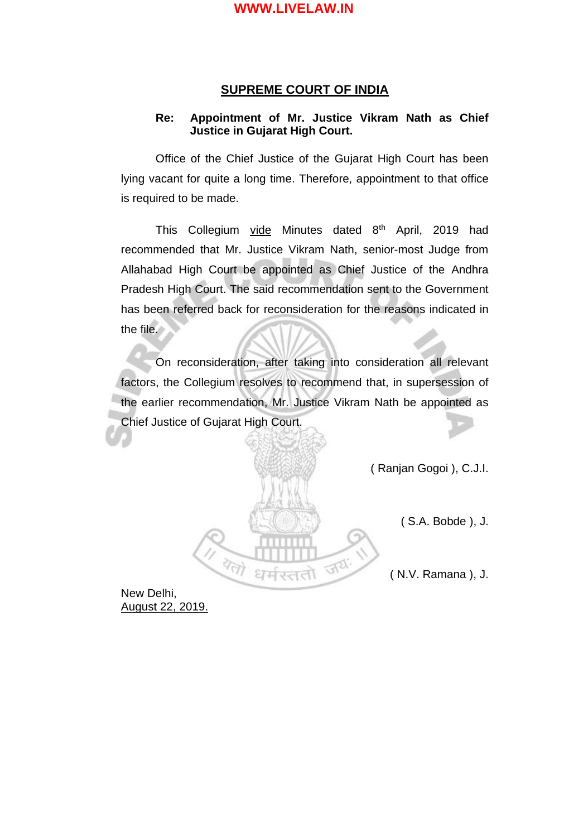#### **SUPREME COURT OF INDIA**

#### **Re: Appointment of Mr. Justice Vikram Nath as Chief Justice in Gujarat High Court.**

Office of the Chief Justice of the Gujarat High Court has been lying vacant for quite a long time. Therefore, appointment to that office is required to be made.

This Collegium vide Minutes dated 8<sup>th</sup> April, 2019 had recommended that Mr. Justice Vikram Nath, senior-most Judge from Allahabad High Court be appointed as Chief Justice of the Andhra Pradesh High Court. The said recommendation sent to the Government has been referred back for reconsideration for the reasons indicated in the file.

On reconsideration, after taking into consideration all relevant factors, the Collegium resolves to recommend that, in supersession of the earlier recommendation, Mr. Justice Vikram Nath be appointed as Chief Justice of Gujarat High Court.

 $\overline{\mathbb{R}^2}$ 

( Ranjan Gogoi ), C.J.I.

( S.A. Bobde ), J.

( N.V. Ramana ), J.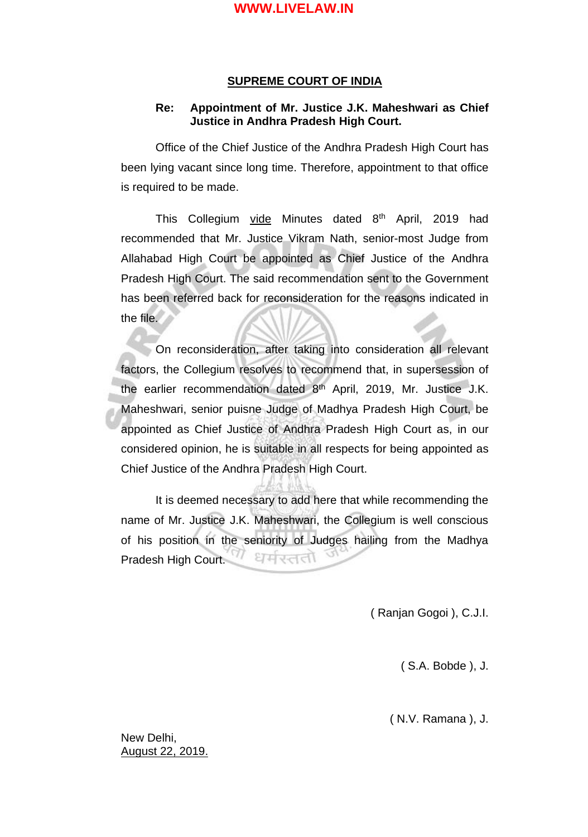#### **SUPREME COURT OF INDIA**

#### **Re: Appointment of Mr. Justice J.K. Maheshwari as Chief Justice in Andhra Pradesh High Court.**

Office of the Chief Justice of the Andhra Pradesh High Court has been lying vacant since long time. Therefore, appointment to that office is required to be made.

This Collegium vide Minutes dated  $8<sup>th</sup>$  April, 2019 had recommended that Mr. Justice Vikram Nath, senior-most Judge from Allahabad High Court be appointed as Chief Justice of the Andhra Pradesh High Court. The said recommendation sent to the Government has been referred back for reconsideration for the reasons indicated in the file.

On reconsideration, after taking into consideration all relevant factors, the Collegium resolves to recommend that, in supersession of the earlier recommendation dated  $8<sup>th</sup>$  April, 2019, Mr. Justice J.K. Maheshwari, senior puisne Judge of Madhya Pradesh High Court, be appointed as Chief Justice of Andhra Pradesh High Court as, in our considered opinion, he is suitable in all respects for being appointed as Chief Justice of the Andhra Pradesh High Court.

It is deemed necessary to add here that while recommending the name of Mr. Justice J.K. Maheshwari, the Collegium is well conscious of his position in the seniority of Judges hailing from the Madhya Pradesh High Court. धर्मरततो

( Ranjan Gogoi ), C.J.I.

( S.A. Bobde ), J.

( N.V. Ramana ), J.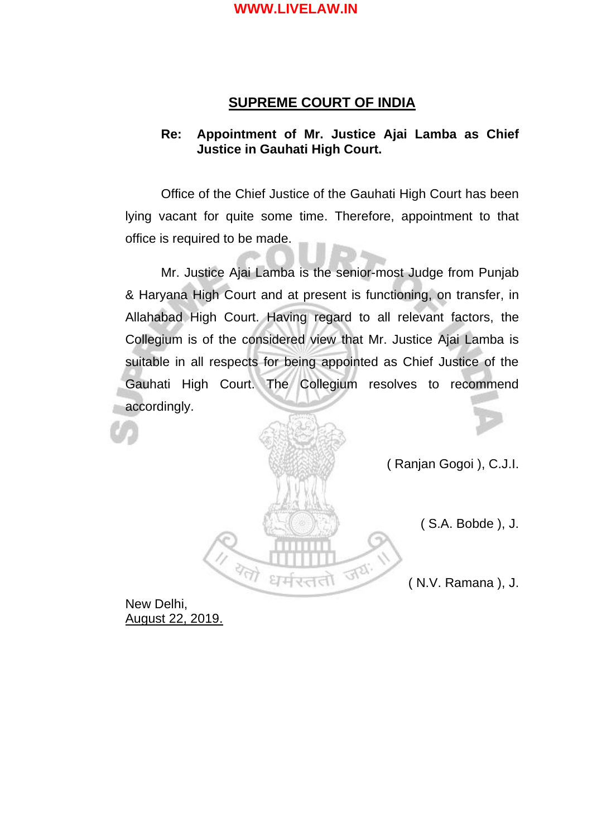## **SUPREME COURT OF INDIA**

## **Re: Appointment of Mr. Justice Ajai Lamba as Chief Justice in Gauhati High Court.**

Office of the Chief Justice of the Gauhati High Court has been lying vacant for quite some time. Therefore, appointment to that office is required to be made.

Mr. Justice Ajai Lamba is the senior-most Judge from Punjab & Haryana High Court and at present is functioning, on transfer, in Allahabad High Court. Having regard to all relevant factors, the Collegium is of the considered view that Mr. Justice Ajai Lamba is suitable in all respects for being appointed as Chief Justice of the Gauhati High Court. The Collegium resolves to recommend accordingly.



( Ranjan Gogoi ), C.J.I.

( S.A. Bobde ), J.

( N.V. Ramana ), J.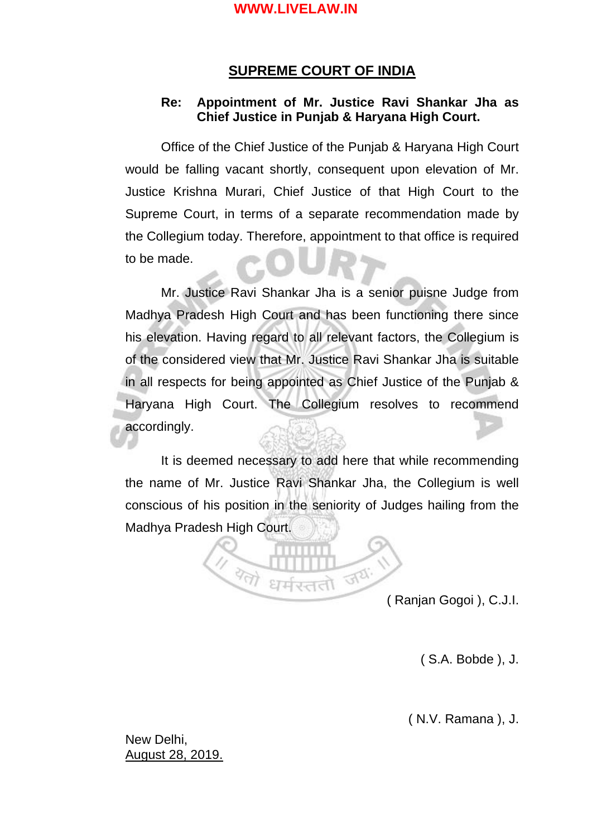## **SUPREME COURT OF INDIA**

### **Re: Appointment of Mr. Justice Ravi Shankar Jha as Chief Justice in Punjab & Haryana High Court.**

Office of the Chief Justice of the Punjab & Haryana High Court would be falling vacant shortly, consequent upon elevation of Mr. Justice Krishna Murari, Chief Justice of that High Court to the Supreme Court, in terms of a separate recommendation made by the Collegium today. Therefore, appointment to that office is required to be made.

Mr. Justice Ravi Shankar Jha is a senior puisne Judge from Madhya Pradesh High Court and has been functioning there since his elevation. Having regard to all relevant factors, the Collegium is of the considered view that Mr. Justice Ravi Shankar Jha is suitable in all respects for being appointed as Chief Justice of the Punjab & Haryana High Court. The Collegium resolves to recommend accordingly.

It is deemed necessary to add here that while recommending the name of Mr. Justice Ravi Shankar Jha, the Collegium is well conscious of his position in the seniority of Judges hailing from the Madhya Pradesh High Court.



( Ranjan Gogoi ), C.J.I.

( S.A. Bobde ), J.

( N.V. Ramana ), J.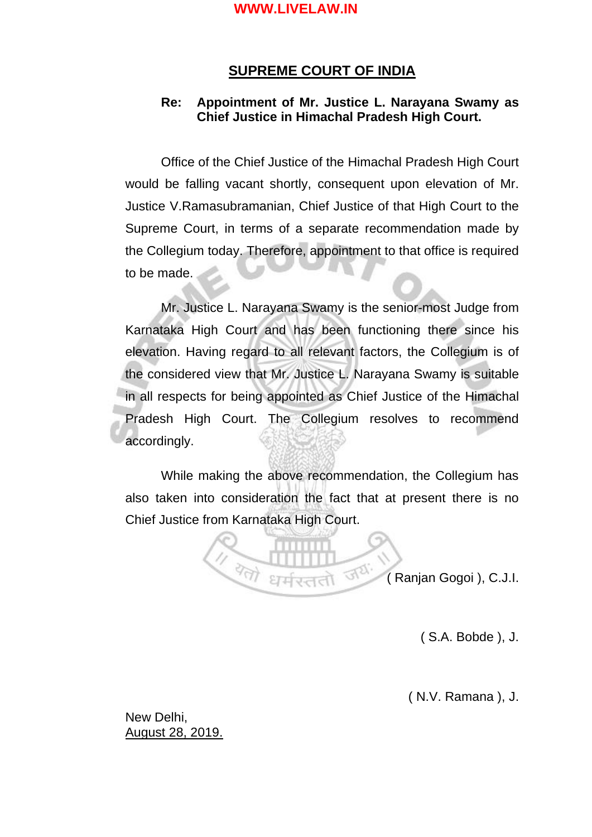## **SUPREME COURT OF INDIA**

### **Re: Appointment of Mr. Justice L. Narayana Swamy as Chief Justice in Himachal Pradesh High Court.**

Office of the Chief Justice of the Himachal Pradesh High Court would be falling vacant shortly, consequent upon elevation of Mr. Justice V.Ramasubramanian, Chief Justice of that High Court to the Supreme Court, in terms of a separate recommendation made by the Collegium today. Therefore, appointment to that office is required to be made.

Mr. Justice L. Narayana Swamy is the senior-most Judge from Karnataka High Court and has been functioning there since his elevation. Having regard to all relevant factors, the Collegium is of the considered view that Mr. Justice L. Narayana Swamy is suitable in all respects for being appointed as Chief Justice of the Himachal Pradesh High Court. The Collegium resolves to recommend accordingly.

While making the above recommendation, the Collegium has also taken into consideration the fact that at present there is no Chief Justice from Karnataka High Court.

Fel

 $\sqrt[3]{\gamma\gamma}$ 

( Ranjan Gogoi ), C.J.I.

( S.A. Bobde ), J.

( N.V. Ramana ), J.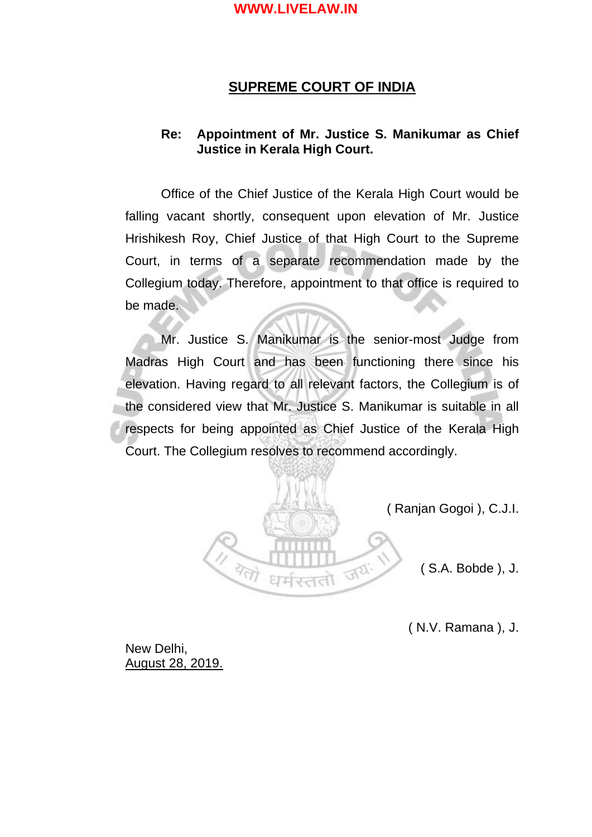## **SUPREME COURT OF INDIA**

### **Re: Appointment of Mr. Justice S. Manikumar as Chief Justice in Kerala High Court.**

Office of the Chief Justice of the Kerala High Court would be falling vacant shortly, consequent upon elevation of Mr. Justice Hrishikesh Roy, Chief Justice of that High Court to the Supreme Court, in terms of a separate recommendation made by the Collegium today. Therefore, appointment to that office is required to be made.

Mr. Justice S. Manikumar is the senior-most Judge from Madras High Court and has been functioning there since his elevation. Having regard to all relevant factors, the Collegium is of the considered view that Mr. Justice S. Manikumar is suitable in all respects for being appointed as Chief Justice of the Kerala High Court. The Collegium resolves to recommend accordingly.



( Ranjan Gogoi ), C.J.I.

( S.A. Bobde ), J.

( N.V. Ramana ), J.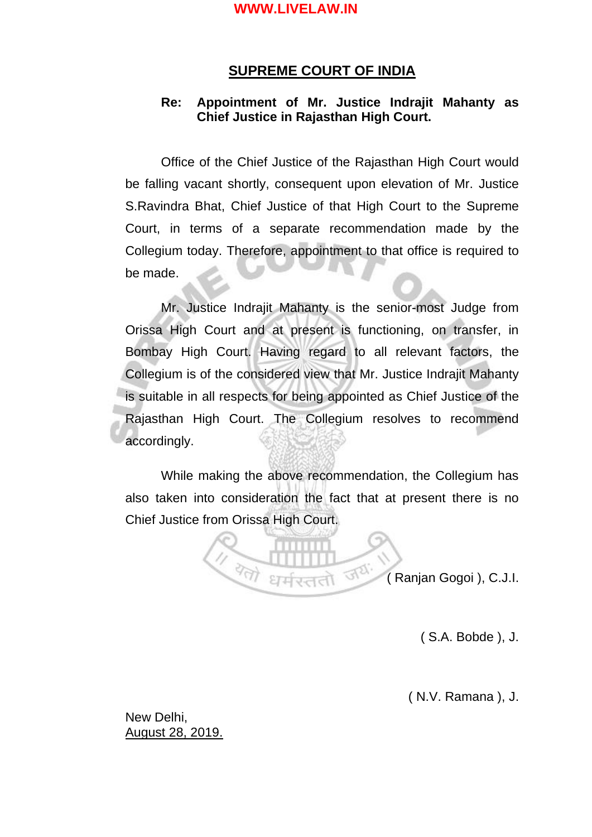## **SUPREME COURT OF INDIA**

## **Re: Appointment of Mr. Justice Indrajit Mahanty as Chief Justice in Rajasthan High Court.**

Office of the Chief Justice of the Rajasthan High Court would be falling vacant shortly, consequent upon elevation of Mr. Justice S.Ravindra Bhat, Chief Justice of that High Court to the Supreme Court, in terms of a separate recommendation made by the Collegium today. Therefore, appointment to that office is required to be made.

Mr. Justice Indrajit Mahanty is the senior-most Judge from Orissa High Court and at present is functioning, on transfer, in Bombay High Court. Having regard to all relevant factors, the Collegium is of the considered view that Mr. Justice Indrajit Mahanty is suitable in all respects for being appointed as Chief Justice of the Rajasthan High Court. The Collegium resolves to recommend accordingly.

While making the above recommendation, the Collegium has also taken into consideration the fact that at present there is no Chief Justice from Orissa High Court.

 $J<sub>2</sub>$ 

 $\overline{\mathbb{Z}}$ 

( Ranjan Gogoi ), C.J.I.

( S.A. Bobde ), J.

( N.V. Ramana ), J.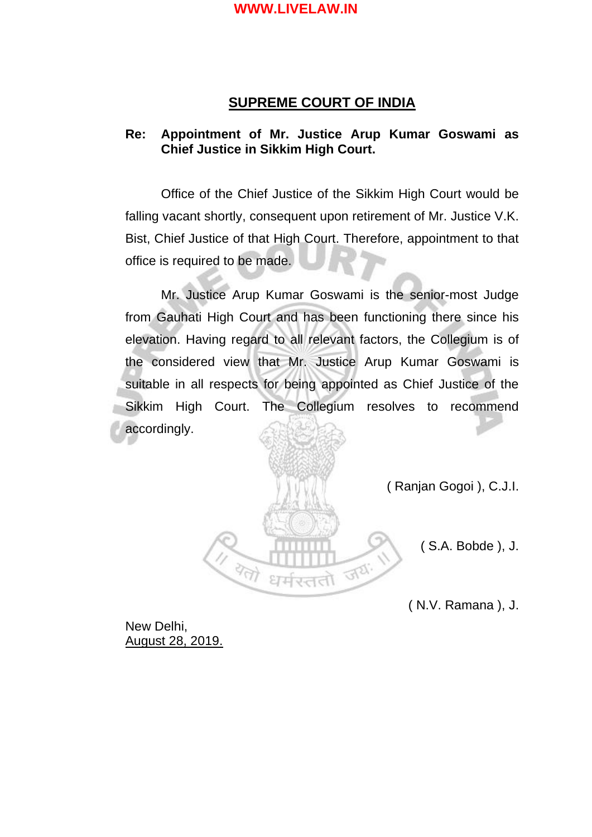## **SUPREME COURT OF INDIA**

## **Re: Appointment of Mr. Justice Arup Kumar Goswami as Chief Justice in Sikkim High Court.**

Office of the Chief Justice of the Sikkim High Court would be falling vacant shortly, consequent upon retirement of Mr. Justice V.K. Bist, Chief Justice of that High Court. Therefore, appointment to that office is required to be made.

Mr. Justice Arup Kumar Goswami is the senior-most Judge from Gauhati High Court and has been functioning there since his elevation. Having regard to all relevant factors, the Collegium is of the considered view that Mr. Justice Arup Kumar Goswami is suitable in all respects for being appointed as Chief Justice of the Sikkim High Court. The Collegium resolves to recommend accordingly.



( Ranjan Gogoi ), C.J.I.

( S.A. Bobde ), J.

( N.V. Ramana ), J.